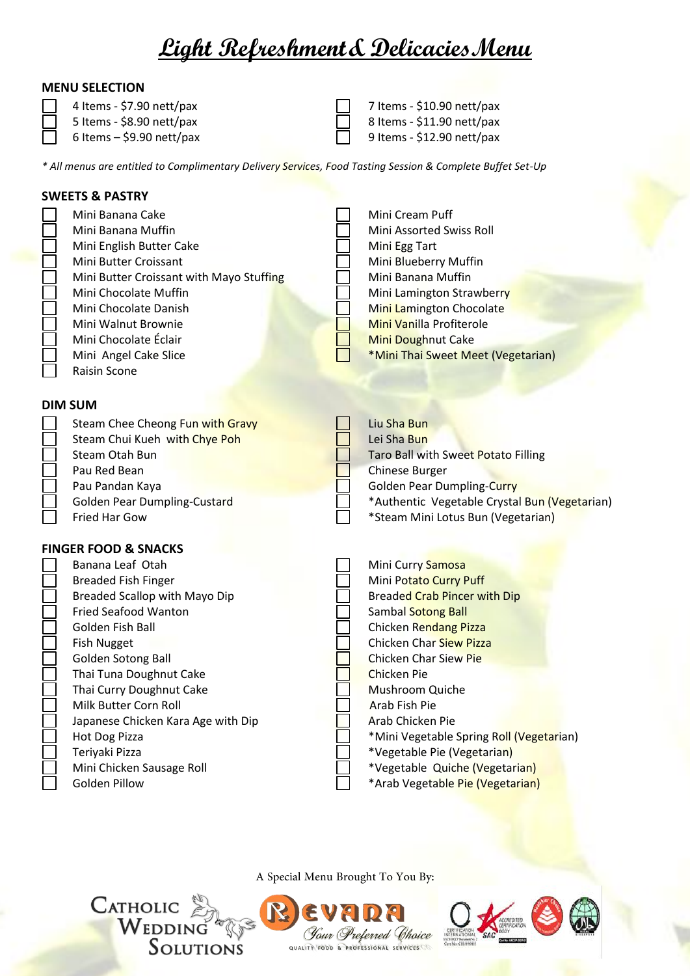# **Light Refreshment& DelicaciesMenu**

#### **MENU SELECTION**

4 Items - \$7.90 nett/pax  $\Box$  7 Items - \$10.90 nett/pax

- 5 Items  $$8.90$  nett/pax  $\Box$  8 Items  $$11.90$  nett/pax
- 

 $6$  Items – \$9.90 nett/pax  $\Box$  9 Items - \$12.90 nett/pax

*\* All menus are entitled to Complimentary Delivery Services, Food Tasting Session & Complete Buffet Set-Up*

# **SWEETS & PASTRY** Mini Banana Cake  $\Box$  Mini Cream Puff

Mini Banana Muffin **Mini Assorted Swiss Roll** Mini Assorted Swiss Roll Mini English Butter Cake Mini Egg Tart Mini Butter Croissant Mini Blueberry Muffin Mini Butter Croissant with Mayo Stuffing  $\Box$  Mini Banana Muffin Mini Chocolate Muffin Mini Lamington Strawberry Mini Chocolate Danish **Mini Lamington Chocolate** Mini Walnut Brownie Mini Vanilla Profiterole Mini Chocolate Éclair **Mini Doughnut Cake** Mini Angel Cake Slice **And Care and California Mini Thai Sweet Meet (Vegetarian)** Raisin Scone

## **DIM SUM**

| Steam Chee Cheong Fun with Gravy    | Liu Sha Bun                                   |
|-------------------------------------|-----------------------------------------------|
| Steam Chui Kueh with Chye Poh       | Lei Sha Bun                                   |
| Steam Otah Bun                      | Taro Ball with Sweet Potato Filling           |
| Pau Red Bean                        | <b>Chinese Burger</b>                         |
| Pau Pandan Kaya                     | <b>Golden Pear Dumpling-Curry</b>             |
| <b>Golden Pear Dumpling-Custard</b> | *Authentic Vegetable Crystal Bun (Vegetarian) |
| Fried Har Gow                       | *Steam Mini Lotus Bun (Vegetarian)            |

## **FINGER FOOD & SNACKS**

**CATHOLIC** 

| Banana Leaf Otah                   | Mini Curry Samosa                        |
|------------------------------------|------------------------------------------|
| <b>Breaded Fish Finger</b>         | Mini Potato Curry Puff                   |
| Breaded Scallop with Mayo Dip      | <b>Breaded Crab Pincer with Dip</b>      |
| <b>Fried Seafood Wanton</b>        | Sambal Sotong Ball                       |
| Golden Fish Ball                   | Chicken Rendang Pizza                    |
| <b>Fish Nugget</b>                 | <b>Chicken Char Siew Pizza</b>           |
| Golden Sotong Ball                 | <b>Chicken Char Siew Pie</b>             |
| Thai Tuna Doughnut Cake            | Chicken Pie                              |
| Thai Curry Doughnut Cake           | Mushroom Quiche                          |
| Milk Butter Corn Roll              | Arab Fish Pie                            |
| Japanese Chicken Kara Age with Dip | Arab Chicken Pie                         |
| Hot Dog Pizza                      | *Mini Vegetable Spring Roll (Vegetarian) |
| Teriyaki Pizza                     | *Vegetable Pie (Vegetarian)              |
| Mini Chicken Sausage Roll          | *Vegetable Quiche (Vegetarian)           |
| <b>Golden Pillow</b>               | *Arab Vegetable Pie (Vegetarian)         |
|                                    |                                          |

A Special Menu Brought To You By:

*<i>Gour Preferred Choice* QUALITY FOOD & PROFESSIONAL SERVICES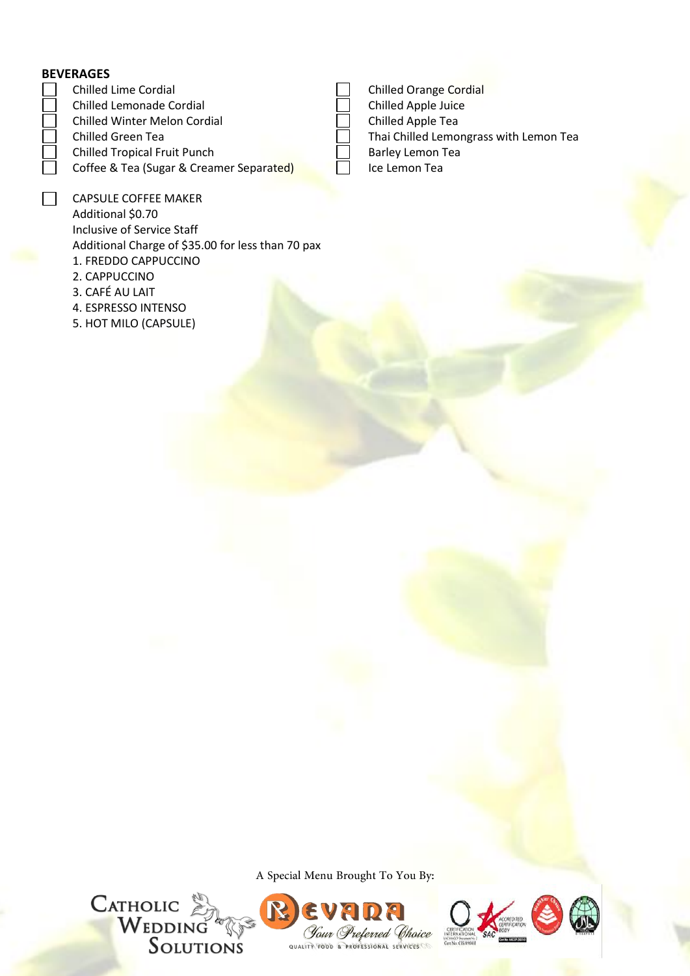#### **BEVERAGES**

- Chilled Lime Cordial **Chilled Chilled Chilled Chilled Chilled Chilled Chilled Chilled Chilled Chile** Chilled Lemonade Cordial Chilled Apple Juice Chilled Winter Melon Cordial Chilled Apple Tea
- 
- Chilled Tropical Fruit Punch  $\Box$  Barley Lemon Tea
	- Coffee & Tea (Sugar & Creamer Separated) **ICE** Ice Lemon Tea
	- CAPSULE COFFEE MAKER Additional \$0.70 Inclusive of Service Staff Additional Charge of \$35.00 for less than 70 pax 1. FREDDO CAPPUCCINO 2. CAPPUCCINO
	- 3. CAFÉ AU LAIT
	- 4. ESPRESSO INTENSO
	- 5. HOT MILO (CAPSULE)

Chilled Green Tea Thai Chilled Lemongrass with Lemon Tea

A Special Menu Brought To You By:







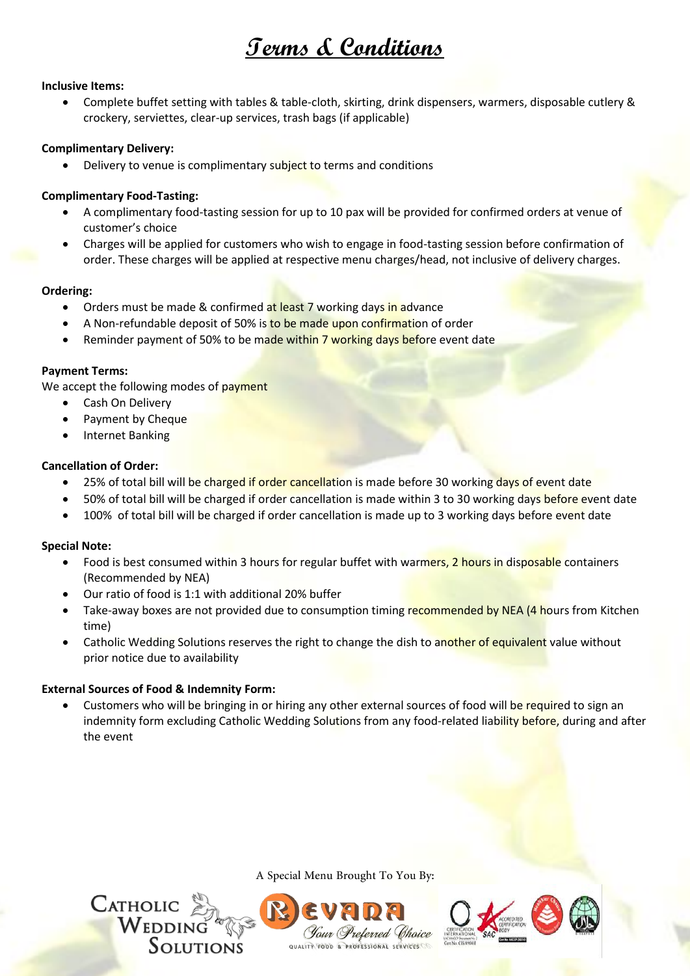# **Terms & Conditions**

#### **Inclusive Items:**

 Complete buffet setting with tables & table-cloth, skirting, drink dispensers, warmers, disposable cutlery & crockery, serviettes, clear-up services, trash bags (if applicable)

#### **Complimentary Delivery:**

Delivery to venue is complimentary subject to terms and conditions

#### **Complimentary Food-Tasting:**

- A complimentary food-tasting session for up to 10 pax will be provided for confirmed orders at venue of customer's choice
- Charges will be applied for customers who wish to engage in food-tasting session before confirmation of order. These charges will be applied at respective menu charges/head, not inclusive of delivery charges.

#### **Ordering:**

- Orders must be made & confirmed at least 7 working days in advance
- A Non-refundable deposit of 50% is to be made upon confirmation of order
- Reminder payment of 50% to be made within 7 working days before event date

#### **Payment Terms:**

We accept the following modes of payment

- Cash On Delivery
- Payment by Cheque
- Internet Banking

#### **Cancellation of Order:**

- 25% of total bill will be charged if order cancellation is made before 30 working days of event date
- 50% of total bill will be charged if order cancellation is made within 3 to 30 working days before event date
- 100% of total bill will be charged if order cancellation is made up to 3 working days before event date

#### **Special Note:**

- Food is best consumed within 3 hours for regular buffet with warmers, 2 hours in disposable containers (Recommended by NEA)
- Our ratio of food is 1:1 with additional 20% buffer
- Take-away boxes are not provided due to consumption timing recommended by NEA (4 hours from Kitchen time)
- Catholic Wedding Solutions reserves the right to change the dish to another of equivalent value without prior notice due to availability

#### **External Sources of Food & Indemnity Form:**

 Customers who will be bringing in or hiring any other external sources of food will be required to sign an indemnity form excluding Catholic Wedding Solutions from any food-related liability before, during and after the event



A Special Menu Brought To You By: